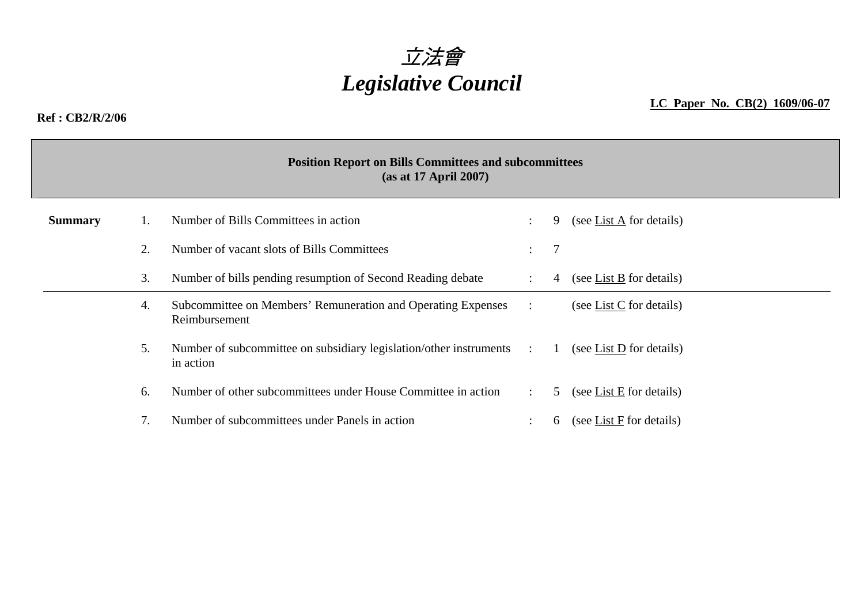

## **Ref : CB2/R/2/06**

**LC Paper No. CB(2) 1609/06-07**

|                | <b>Position Report on Bills Committees and subcommittees</b><br>(as at 17 April 2007)     |                                                                                 |                      |   |                                       |  |  |  |  |  |  |
|----------------|-------------------------------------------------------------------------------------------|---------------------------------------------------------------------------------|----------------------|---|---------------------------------------|--|--|--|--|--|--|
| <b>Summary</b> |                                                                                           | Number of Bills Committees in action                                            |                      | 9 | (see List $\overline{A}$ for details) |  |  |  |  |  |  |
|                | 2.                                                                                        | Number of vacant slots of Bills Committees                                      | $\bullet$ .          | 7 |                                       |  |  |  |  |  |  |
|                | 3.<br>Number of bills pending resumption of Second Reading debate<br>$\ddot{\phantom{0}}$ |                                                                                 |                      |   | (see List B for details)              |  |  |  |  |  |  |
|                | Subcommittee on Members' Remuneration and Operating Expenses<br>4.<br>Reimbursement       |                                                                                 | $\ddot{\phantom{a}}$ |   | (see List $C$ for details)            |  |  |  |  |  |  |
|                | 5.                                                                                        | Number of subcommittee on subsidiary legislation/other instruments<br>in action | $\sim$               |   | (see List D for details)              |  |  |  |  |  |  |
|                | 6.                                                                                        | Number of other subcommittees under House Committee in action                   | $\ddot{\phantom{0}}$ | 5 | (see List E for details)              |  |  |  |  |  |  |
|                | 7.                                                                                        | Number of subcommittees under Panels in action                                  |                      | 6 | (see List F for details)              |  |  |  |  |  |  |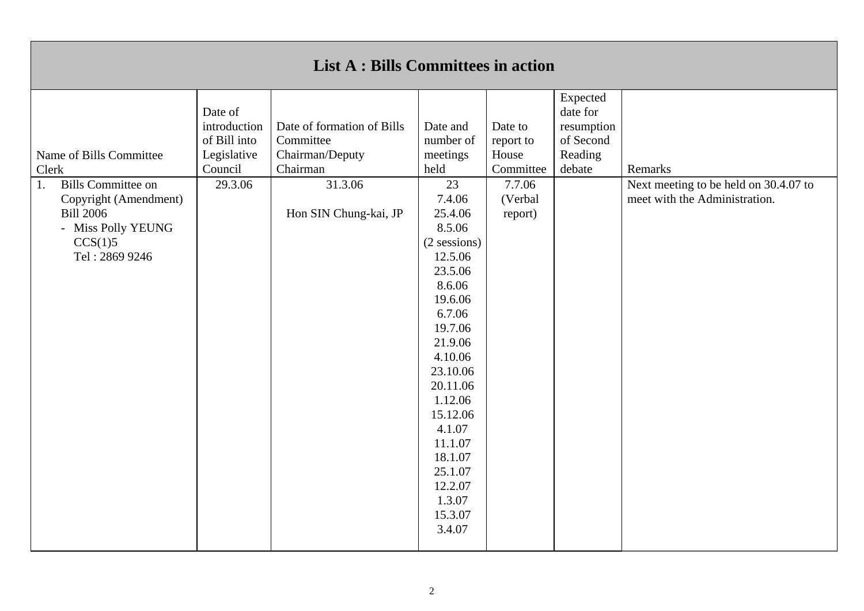| <b>List A : Bills Committees in action</b>                                                                                                                          |                                                                              |                                                                                                            |                                                                                                                                                                                                                                                                                                                            |                                                                            |                                                                      |                                                                                   |  |  |
|---------------------------------------------------------------------------------------------------------------------------------------------------------------------|------------------------------------------------------------------------------|------------------------------------------------------------------------------------------------------------|----------------------------------------------------------------------------------------------------------------------------------------------------------------------------------------------------------------------------------------------------------------------------------------------------------------------------|----------------------------------------------------------------------------|----------------------------------------------------------------------|-----------------------------------------------------------------------------------|--|--|
| Name of Bills Committee<br>Clerk<br><b>Bills Committee on</b><br>1.<br>Copyright (Amendment)<br><b>Bill 2006</b><br>- Miss Polly YEUNG<br>CCS(1)5<br>Tel: 2869 9246 | Date of<br>introduction<br>of Bill into<br>Legislative<br>Council<br>29.3.06 | Date of formation of Bills<br>Committee<br>Chairman/Deputy<br>Chairman<br>31.3.06<br>Hon SIN Chung-kai, JP | Date and<br>number of<br>meetings<br>held<br>23<br>7.4.06<br>25.4.06<br>8.5.06<br>$(2$ sessions)<br>12.5.06<br>23.5.06<br>8.6.06<br>19.6.06<br>6.7.06<br>19.7.06<br>21.9.06<br>4.10.06<br>23.10.06<br>20.11.06<br>1.12.06<br>15.12.06<br>4.1.07<br>11.1.07<br>18.1.07<br>25.1.07<br>12.2.07<br>1.3.07<br>15.3.07<br>3.4.07 | Date to<br>report to<br>House<br>Committee<br>7.7.06<br>(Verbal<br>report) | Expected<br>date for<br>resumption<br>of Second<br>Reading<br>debate | Remarks<br>Next meeting to be held on 30.4.07 to<br>meet with the Administration. |  |  |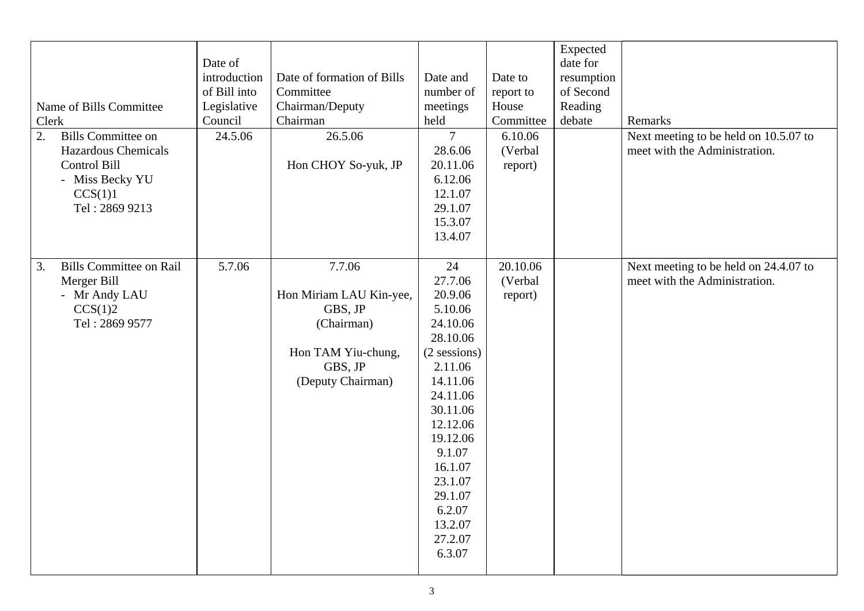| Name of Bills Committee<br>Clerk<br>2.<br><b>Bills Committee on</b><br><b>Hazardous Chemicals</b><br><b>Control Bill</b><br>- Miss Becky YU<br>CCS(1)1<br>Tel: 2869 9213 | Date of<br>introduction<br>of Bill into<br>Legislative<br>Council<br>24.5.06 | Date of formation of Bills<br>Committee<br>Chairman/Deputy<br>Chairman<br>26.5.06<br>Hon CHOY So-yuk, JP         | Date and<br>number of<br>meetings<br>held<br>$\overline{7}$<br>28.6.06<br>20.11.06<br>6.12.06<br>12.1.07<br>29.1.07<br>15.3.07<br>13.4.07                                                                                                 | Date to<br>report to<br>House<br>Committee<br>6.10.06<br>(Verbal<br>report) | Expected<br>date for<br>resumption<br>of Second<br>Reading<br>debate | Remarks<br>Next meeting to be held on 10.5.07 to<br>meet with the Administration. |
|--------------------------------------------------------------------------------------------------------------------------------------------------------------------------|------------------------------------------------------------------------------|------------------------------------------------------------------------------------------------------------------|-------------------------------------------------------------------------------------------------------------------------------------------------------------------------------------------------------------------------------------------|-----------------------------------------------------------------------------|----------------------------------------------------------------------|-----------------------------------------------------------------------------------|
| <b>Bills Committee on Rail</b><br>3.<br>Merger Bill<br>- Mr Andy LAU<br>CCS(1)2<br>Tel: 2869 9577                                                                        | 5.7.06                                                                       | 7.7.06<br>Hon Miriam LAU Kin-yee,<br>GBS, JP<br>(Chairman)<br>Hon TAM Yiu-chung,<br>GBS, JP<br>(Deputy Chairman) | 24<br>27.7.06<br>20.9.06<br>5.10.06<br>24.10.06<br>28.10.06<br>$(2$ sessions)<br>2.11.06<br>14.11.06<br>24.11.06<br>30.11.06<br>12.12.06<br>19.12.06<br>9.1.07<br>16.1.07<br>23.1.07<br>29.1.07<br>6.2.07<br>13.2.07<br>27.2.07<br>6.3.07 | 20.10.06<br>(Verbal<br>report)                                              |                                                                      | Next meeting to be held on 24.4.07 to<br>meet with the Administration.            |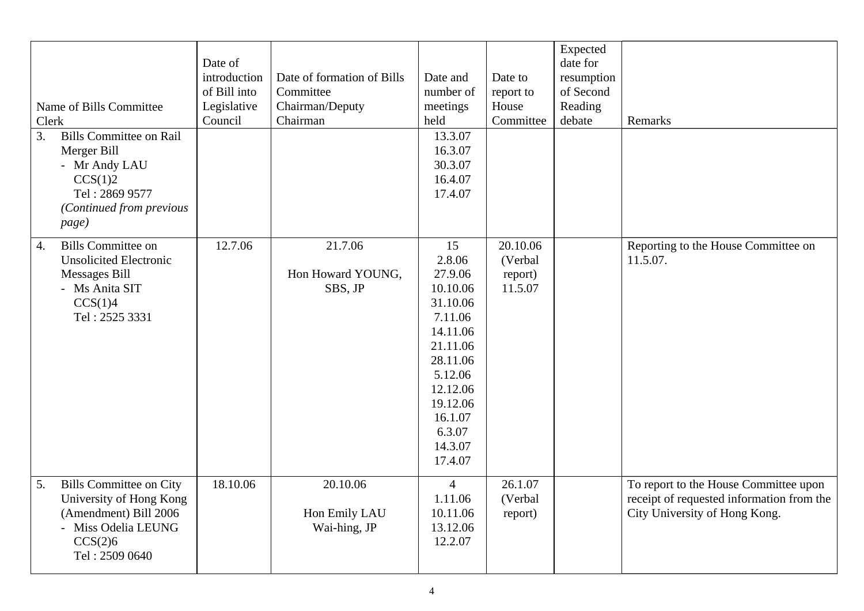| Name of Bills Committee<br>Clerk<br>3.<br><b>Bills Committee on Rail</b><br>Merger Bill<br>- Mr Andy LAU<br>CCS(1)2<br>Tel: 2869 9577<br>(Continued from previous<br>page) | Date of<br>introduction<br>of Bill into<br>Legislative<br>Council | Date of formation of Bills<br>Committee<br>Chairman/Deputy<br>Chairman | Date and<br>number of<br>meetings<br>held<br>13.3.07<br>16.3.07<br>30.3.07<br>16.4.07<br>17.4.07                                                                             | Date to<br>report to<br>House<br>Committee | Expected<br>date for<br>resumption<br>of Second<br>Reading<br>debate | Remarks                                                                                                             |
|----------------------------------------------------------------------------------------------------------------------------------------------------------------------------|-------------------------------------------------------------------|------------------------------------------------------------------------|------------------------------------------------------------------------------------------------------------------------------------------------------------------------------|--------------------------------------------|----------------------------------------------------------------------|---------------------------------------------------------------------------------------------------------------------|
| <b>Bills Committee on</b><br>$\overline{4}$ .<br><b>Unsolicited Electronic</b><br><b>Messages Bill</b><br>- Ms Anita SIT<br>CCS(1)4<br>Tel: 2525 3331                      | 12.7.06                                                           | 21.7.06<br>Hon Howard YOUNG,<br>SBS, JP                                | 15<br>2.8.06<br>27.9.06<br>10.10.06<br>31.10.06<br>7.11.06<br>14.11.06<br>21.11.06<br>28.11.06<br>5.12.06<br>12.12.06<br>19.12.06<br>16.1.07<br>6.3.07<br>14.3.07<br>17.4.07 | 20.10.06<br>(Verbal<br>report)<br>11.5.07  |                                                                      | Reporting to the House Committee on<br>11.5.07.                                                                     |
| <b>Bills Committee on City</b><br>5.<br>University of Hong Kong<br>(Amendment) Bill 2006<br>- Miss Odelia LEUNG<br>CCS(2)6<br>Tel: 2509 0640                               | 18.10.06                                                          | 20.10.06<br>Hon Emily LAU<br>Wai-hing, JP                              | $\overline{4}$<br>1.11.06<br>10.11.06<br>13.12.06<br>12.2.07                                                                                                                 | 26.1.07<br>(Verbal<br>report)              |                                                                      | To report to the House Committee upon<br>receipt of requested information from the<br>City University of Hong Kong. |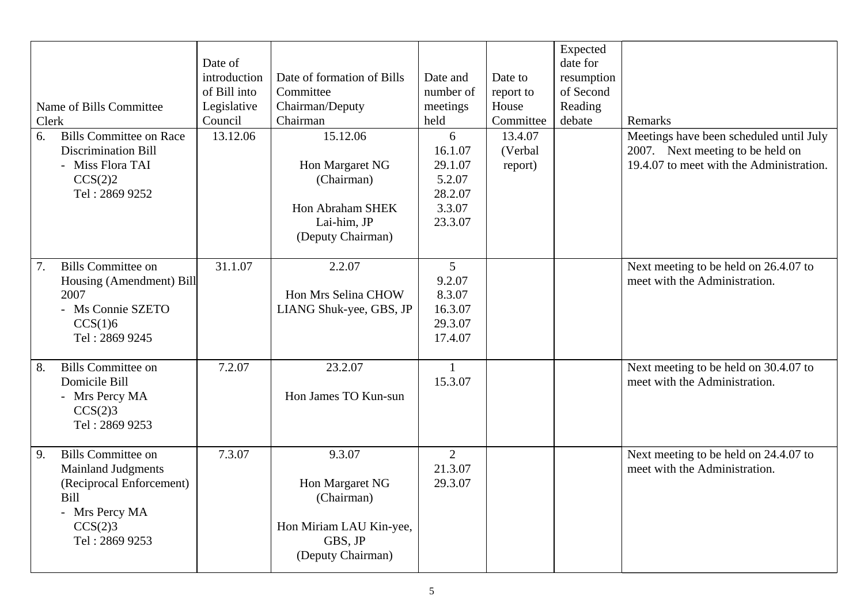|       |                                |              |                            |                |           | Expected   |                                          |
|-------|--------------------------------|--------------|----------------------------|----------------|-----------|------------|------------------------------------------|
|       |                                | Date of      |                            |                |           | date for   |                                          |
|       |                                | introduction | Date of formation of Bills | Date and       | Date to   | resumption |                                          |
|       |                                | of Bill into | Committee                  | number of      | report to | of Second  |                                          |
|       | Name of Bills Committee        | Legislative  | Chairman/Deputy            | meetings       | House     | Reading    |                                          |
| Clerk |                                | Council      | Chairman                   | held           | Committee | debate     | Remarks                                  |
| 6.    | <b>Bills Committee on Race</b> | 13.12.06     | 15.12.06                   | 6              | 13.4.07   |            | Meetings have been scheduled until July  |
|       | <b>Discrimination Bill</b>     |              |                            | 16.1.07        | (Verbal   |            | 2007. Next meeting to be held on         |
|       | - Miss Flora TAI               |              | Hon Margaret NG            | 29.1.07        | report)   |            | 19.4.07 to meet with the Administration. |
|       | CCS(2)2                        |              | (Chairman)                 | 5.2.07         |           |            |                                          |
|       | Tel: 2869 9252                 |              |                            | 28.2.07        |           |            |                                          |
|       |                                |              | Hon Abraham SHEK           | 3.3.07         |           |            |                                          |
|       |                                |              | Lai-him, JP                | 23.3.07        |           |            |                                          |
|       |                                |              | (Deputy Chairman)          |                |           |            |                                          |
|       |                                |              |                            |                |           |            |                                          |
| 7.    | <b>Bills Committee on</b>      | 31.1.07      | 2.2.07                     | 5              |           |            | Next meeting to be held on 26.4.07 to    |
|       | Housing (Amendment) Bill       |              |                            | 9.2.07         |           |            | meet with the Administration.            |
|       | 2007                           |              | Hon Mrs Selina CHOW        | 8.3.07         |           |            |                                          |
|       | - Ms Connie SZETO              |              | LIANG Shuk-yee, GBS, JP    | 16.3.07        |           |            |                                          |
|       | CCS(1)6                        |              |                            | 29.3.07        |           |            |                                          |
|       | Tel: 2869 9245                 |              |                            | 17.4.07        |           |            |                                          |
|       |                                |              |                            |                |           |            |                                          |
| 8.    | <b>Bills Committee on</b>      | 7.2.07       | 23.2.07                    | $\mathbf{1}$   |           |            | Next meeting to be held on 30.4.07 to    |
|       | Domicile Bill                  |              |                            | 15.3.07        |           |            | meet with the Administration.            |
|       | - Mrs Percy MA                 |              | Hon James TO Kun-sun       |                |           |            |                                          |
|       | CCS(2)3                        |              |                            |                |           |            |                                          |
|       | Tel: 2869 9253                 |              |                            |                |           |            |                                          |
|       |                                |              |                            |                |           |            |                                          |
| 9.    | <b>Bills Committee on</b>      | 7.3.07       | 9.3.07                     | $\overline{2}$ |           |            | Next meeting to be held on 24.4.07 to    |
|       | <b>Mainland Judgments</b>      |              |                            | 21.3.07        |           |            | meet with the Administration.            |
|       | (Reciprocal Enforcement)       |              | Hon Margaret NG            | 29.3.07        |           |            |                                          |
|       | Bill                           |              | (Chairman)                 |                |           |            |                                          |
|       | - Mrs Percy MA                 |              |                            |                |           |            |                                          |
|       | CCS(2)3                        |              | Hon Miriam LAU Kin-yee,    |                |           |            |                                          |
|       | Tel: 2869 9253                 |              | GBS, JP                    |                |           |            |                                          |
|       |                                |              | (Deputy Chairman)          |                |           |            |                                          |
|       |                                |              |                            |                |           |            |                                          |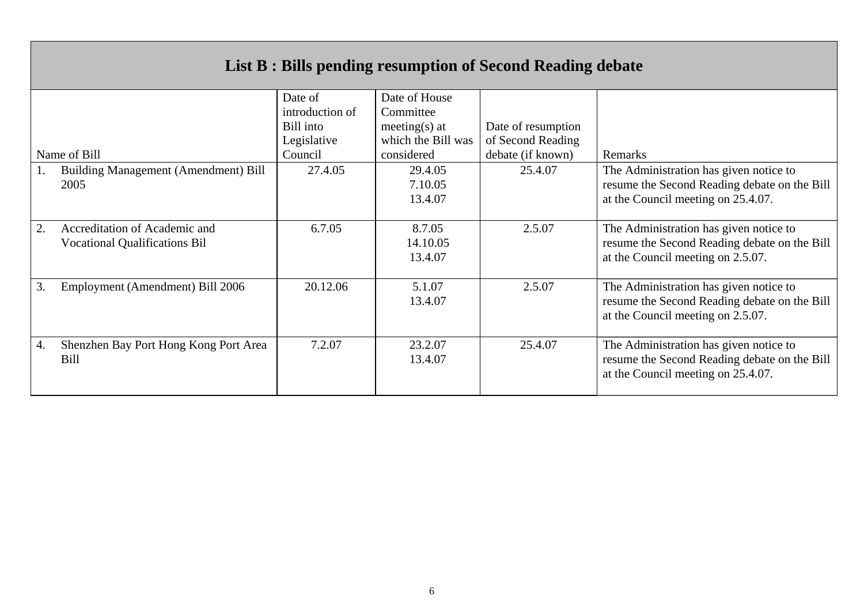## **List B : Bills pending resumption of Second Reading debate**

|    |                                                                       | Date of         | Date of House                 |                    |                                                                                                                              |
|----|-----------------------------------------------------------------------|-----------------|-------------------------------|--------------------|------------------------------------------------------------------------------------------------------------------------------|
|    |                                                                       | introduction of | Committee                     |                    |                                                                                                                              |
|    |                                                                       | Bill into       | meeting(s) at                 | Date of resumption |                                                                                                                              |
|    |                                                                       | Legislative     | which the Bill was            | of Second Reading  |                                                                                                                              |
|    | Name of Bill                                                          | Council         | considered                    | debate (if known)  | Remarks                                                                                                                      |
|    | Building Management (Amendment) Bill<br>2005                          | 27.4.05         | 29.4.05<br>7.10.05<br>13.4.07 | 25.4.07            | The Administration has given notice to<br>resume the Second Reading debate on the Bill<br>at the Council meeting on 25.4.07. |
| 2. | Accreditation of Academic and<br><b>Vocational Qualifications Bil</b> | 6.7.05          | 8.7.05<br>14.10.05<br>13.4.07 | 2.5.07             | The Administration has given notice to<br>resume the Second Reading debate on the Bill<br>at the Council meeting on 2.5.07.  |
| 3. | Employment (Amendment) Bill 2006                                      | 20.12.06        | 5.1.07<br>13.4.07             | 2.5.07             | The Administration has given notice to<br>resume the Second Reading debate on the Bill<br>at the Council meeting on 2.5.07.  |
| 4. | Shenzhen Bay Port Hong Kong Port Area<br>Bill                         | 7.2.07          | 23.2.07<br>13.4.07            | 25.4.07            | The Administration has given notice to<br>resume the Second Reading debate on the Bill<br>at the Council meeting on 25.4.07. |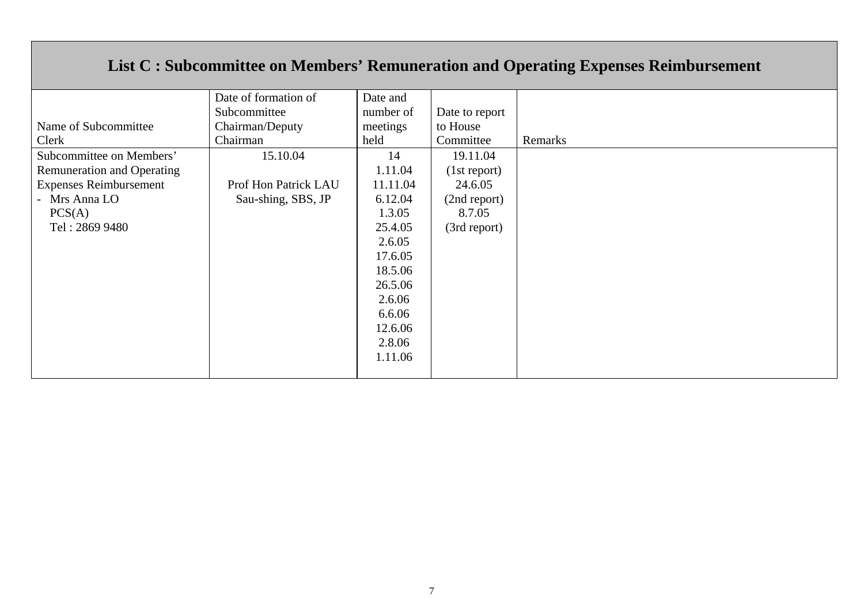## **List C : Subcommittee on Members' Remuneration and Operating Expenses Reimbursement**

|                                   | Date of formation of | Date and  |                |         |
|-----------------------------------|----------------------|-----------|----------------|---------|
|                                   | Subcommittee         | number of | Date to report |         |
| Name of Subcommittee              | Chairman/Deputy      | meetings  | to House       |         |
| Clerk                             | Chairman             | held      | Committee      | Remarks |
| Subcommittee on Members'          | 15.10.04             | 14        | 19.11.04       |         |
| <b>Remuneration and Operating</b> |                      | 1.11.04   | (1st report)   |         |
| <b>Expenses Reimbursement</b>     | Prof Hon Patrick LAU | 11.11.04  | 24.6.05        |         |
| - Mrs Anna LO                     | Sau-shing, SBS, JP   | 6.12.04   | (2nd report)   |         |
| PCS(A)                            |                      | 1.3.05    | 8.7.05         |         |
| Tel: 2869 9480                    |                      | 25.4.05   | (3rd report)   |         |
|                                   |                      | 2.6.05    |                |         |
|                                   |                      | 17.6.05   |                |         |
|                                   |                      | 18.5.06   |                |         |
|                                   |                      | 26.5.06   |                |         |
|                                   |                      | 2.6.06    |                |         |
|                                   |                      | 6.6.06    |                |         |
|                                   |                      | 12.6.06   |                |         |
|                                   |                      | 2.8.06    |                |         |
|                                   |                      | 1.11.06   |                |         |
|                                   |                      |           |                |         |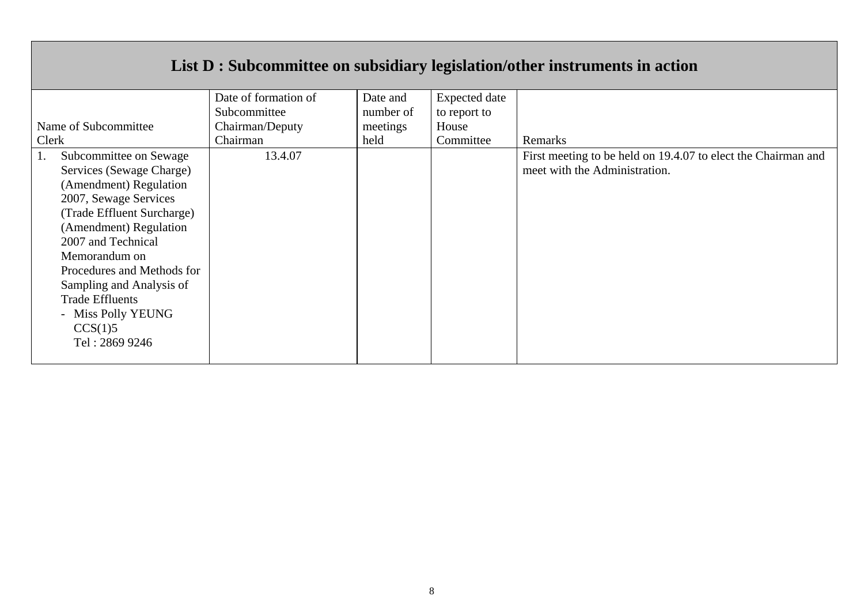|                                                                                                                                                                                                                                                                                                                                             |                      |           |                      | List D : Subcommittee on subsidiary legislation/other instruments in action                    |
|---------------------------------------------------------------------------------------------------------------------------------------------------------------------------------------------------------------------------------------------------------------------------------------------------------------------------------------------|----------------------|-----------|----------------------|------------------------------------------------------------------------------------------------|
|                                                                                                                                                                                                                                                                                                                                             | Date of formation of | Date and  | <b>Expected</b> date |                                                                                                |
|                                                                                                                                                                                                                                                                                                                                             | Subcommittee         | number of | to report to         |                                                                                                |
| Name of Subcommittee                                                                                                                                                                                                                                                                                                                        | Chairman/Deputy      | meetings  | House                |                                                                                                |
| Clerk                                                                                                                                                                                                                                                                                                                                       | Chairman             | held      | Committee            | Remarks                                                                                        |
| Subcommittee on Sewage<br>Services (Sewage Charge)<br>(Amendment) Regulation<br>2007, Sewage Services<br>(Trade Effluent Surcharge)<br>(Amendment) Regulation<br>2007 and Technical<br>Memorandum on<br>Procedures and Methods for<br>Sampling and Analysis of<br><b>Trade Effluents</b><br>- Miss Polly YEUNG<br>CCS(1)5<br>Tel: 2869 9246 | 13.4.07              |           |                      | First meeting to be held on 19.4.07 to elect the Chairman and<br>meet with the Administration. |

 $\mathsf{T}$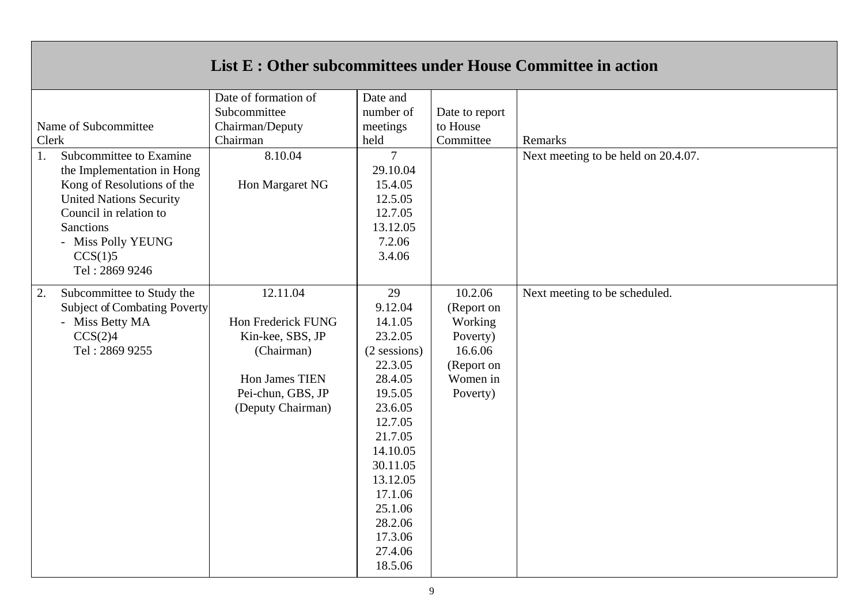|       |                                     | List E : Other subcommittees under House Committee in action |                       |                |                                     |
|-------|-------------------------------------|--------------------------------------------------------------|-----------------------|----------------|-------------------------------------|
|       |                                     | Date of formation of<br>Subcommittee                         | Date and<br>number of | Date to report |                                     |
|       | Name of Subcommittee                | Chairman/Deputy                                              | meetings              | to House       |                                     |
| Clerk |                                     | Chairman                                                     | held                  | Committee      | Remarks                             |
| 1.    | Subcommittee to Examine             | 8.10.04                                                      | $\overline{7}$        |                | Next meeting to be held on 20.4.07. |
|       | the Implementation in Hong          |                                                              | 29.10.04              |                |                                     |
|       | Kong of Resolutions of the          | Hon Margaret NG                                              | 15.4.05               |                |                                     |
|       | <b>United Nations Security</b>      |                                                              | 12.5.05               |                |                                     |
|       | Council in relation to              |                                                              | 12.7.05               |                |                                     |
|       | <b>Sanctions</b>                    |                                                              | 13.12.05              |                |                                     |
|       | - Miss Polly YEUNG                  |                                                              | 7.2.06<br>3.4.06      |                |                                     |
|       | CCS(1)5<br>Tel: 2869 9246           |                                                              |                       |                |                                     |
|       |                                     |                                                              |                       |                |                                     |
| 2.    | Subcommittee to Study the           | 12.11.04                                                     | 29                    | 10.2.06        | Next meeting to be scheduled.       |
|       | <b>Subject of Combating Poverty</b> |                                                              | 9.12.04               | (Report on     |                                     |
|       | - Miss Betty MA                     | Hon Frederick FUNG                                           | 14.1.05               | Working        |                                     |
|       | CCS(2)4                             | Kin-kee, SBS, JP                                             | 23.2.05               | Poverty)       |                                     |
|       | Tel: 2869 9255                      | (Chairman)                                                   | $(2$ sessions)        | 16.6.06        |                                     |
|       |                                     |                                                              | 22.3.05               | (Report on     |                                     |
|       |                                     | Hon James TIEN                                               | 28.4.05               | Women in       |                                     |
|       |                                     | Pei-chun, GBS, JP                                            | 19.5.05               | Poverty)       |                                     |
|       |                                     | (Deputy Chairman)                                            | 23.6.05               |                |                                     |
|       |                                     |                                                              | 12.7.05               |                |                                     |
|       |                                     |                                                              | 21.7.05               |                |                                     |
|       |                                     |                                                              | 14.10.05              |                |                                     |
|       |                                     |                                                              | 30.11.05              |                |                                     |
|       |                                     |                                                              | 13.12.05              |                |                                     |
|       |                                     |                                                              | 17.1.06               |                |                                     |
|       |                                     |                                                              | 25.1.06               |                |                                     |
|       |                                     |                                                              | 28.2.06               |                |                                     |
|       |                                     |                                                              | 17.3.06               |                |                                     |
|       |                                     |                                                              | 27.4.06               |                |                                     |
|       |                                     |                                                              | 18.5.06               |                |                                     |

 $\Gamma$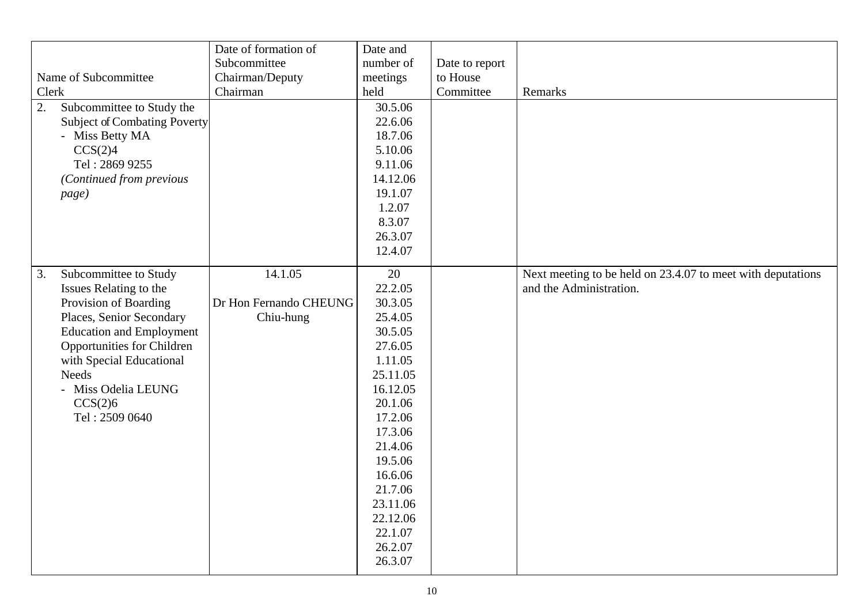| Name of Subcommittee<br>Clerk<br>2.<br>Subcommittee to Study the<br>Subject of Combating Poverty<br>- Miss Betty MA<br>CCS(2)4<br>Tel: 2869 9255<br>(Continued from previous<br>page)                                                                                       | Date of formation of<br>Subcommittee<br>Chairman/Deputy<br>Chairman | Date and<br>number of<br>meetings<br>held<br>30.5.06<br>22.6.06<br>18.7.06<br>5.10.06<br>9.11.06<br>14.12.06<br>19.1.07<br>1.2.07<br>8.3.07<br>26.3.07<br>12.4.07                                                                  | Date to report<br>to House<br>Committee | Remarks                                                                                |
|-----------------------------------------------------------------------------------------------------------------------------------------------------------------------------------------------------------------------------------------------------------------------------|---------------------------------------------------------------------|------------------------------------------------------------------------------------------------------------------------------------------------------------------------------------------------------------------------------------|-----------------------------------------|----------------------------------------------------------------------------------------|
| Subcommittee to Study<br>3.<br>Issues Relating to the<br>Provision of Boarding<br>Places, Senior Secondary<br><b>Education and Employment</b><br>Opportunities for Children<br>with Special Educational<br><b>Needs</b><br>- Miss Odelia LEUNG<br>CCS(2)6<br>Tel: 2509 0640 | 14.1.05<br>Dr Hon Fernando CHEUNG<br>Chiu-hung                      | 20<br>22.2.05<br>30.3.05<br>25.4.05<br>30.5.05<br>27.6.05<br>1.11.05<br>25.11.05<br>16.12.05<br>20.1.06<br>17.2.06<br>17.3.06<br>21.4.06<br>19.5.06<br>16.6.06<br>21.7.06<br>23.11.06<br>22.12.06<br>22.1.07<br>26.2.07<br>26.3.07 |                                         | Next meeting to be held on 23.4.07 to meet with deputations<br>and the Administration. |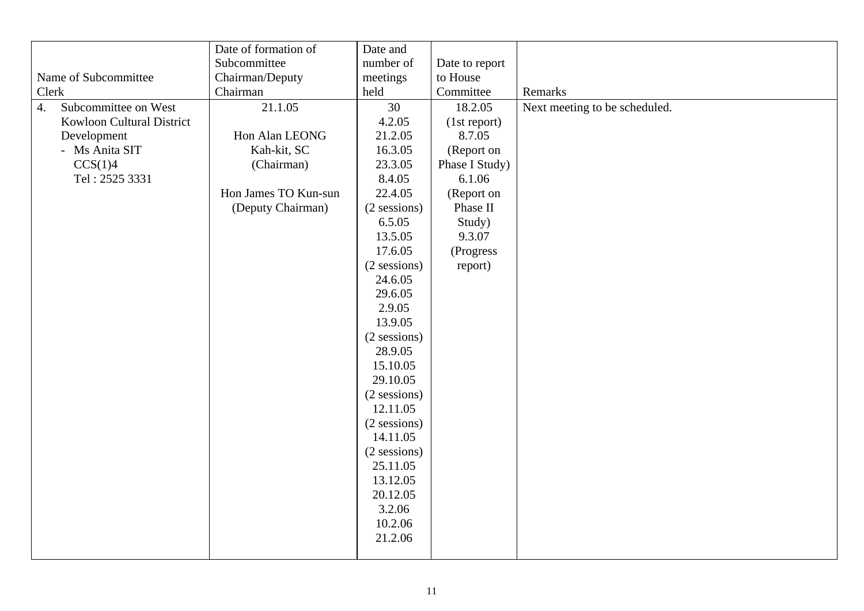|                                          | Date of formation of | Date and       |                |                               |
|------------------------------------------|----------------------|----------------|----------------|-------------------------------|
|                                          | Subcommittee         | number of      | Date to report |                               |
| Name of Subcommittee                     | Chairman/Deputy      | meetings       | to House       |                               |
| Clerk                                    | Chairman             | held           | Committee      | Remarks                       |
| Subcommittee on West<br>$\overline{4}$ . | 21.1.05              | 30             | 18.2.05        | Next meeting to be scheduled. |
| Kowloon Cultural District                |                      | 4.2.05         | (1st report)   |                               |
| Development                              | Hon Alan LEONG       | 21.2.05        | 8.7.05         |                               |
| - Ms Anita SIT                           | Kah-kit, SC          | 16.3.05        | (Report on     |                               |
| CCS(1)4                                  | (Chairman)           | 23.3.05        | Phase I Study) |                               |
| Tel: 2525 3331                           |                      | 8.4.05         | 6.1.06         |                               |
|                                          | Hon James TO Kun-sun | 22.4.05        | (Report on     |                               |
|                                          | (Deputy Chairman)    | $(2$ sessions) | Phase II       |                               |
|                                          |                      | 6.5.05         | Study)         |                               |
|                                          |                      | 13.5.05        | 9.3.07         |                               |
|                                          |                      | 17.6.05        | (Progress      |                               |
|                                          |                      | $(2$ sessions) | report)        |                               |
|                                          |                      | 24.6.05        |                |                               |
|                                          |                      | 29.6.05        |                |                               |
|                                          |                      | 2.9.05         |                |                               |
|                                          |                      | 13.9.05        |                |                               |
|                                          |                      | (2 sessions)   |                |                               |
|                                          |                      | 28.9.05        |                |                               |
|                                          |                      | 15.10.05       |                |                               |
|                                          |                      | 29.10.05       |                |                               |
|                                          |                      | (2 sessions)   |                |                               |
|                                          |                      | 12.11.05       |                |                               |
|                                          |                      | (2 sessions)   |                |                               |
|                                          |                      | 14.11.05       |                |                               |
|                                          |                      | (2 sessions)   |                |                               |
|                                          |                      | 25.11.05       |                |                               |
|                                          |                      | 13.12.05       |                |                               |
|                                          |                      | 20.12.05       |                |                               |
|                                          |                      | 3.2.06         |                |                               |
|                                          |                      | 10.2.06        |                |                               |
|                                          |                      | 21.2.06        |                |                               |
|                                          |                      |                |                |                               |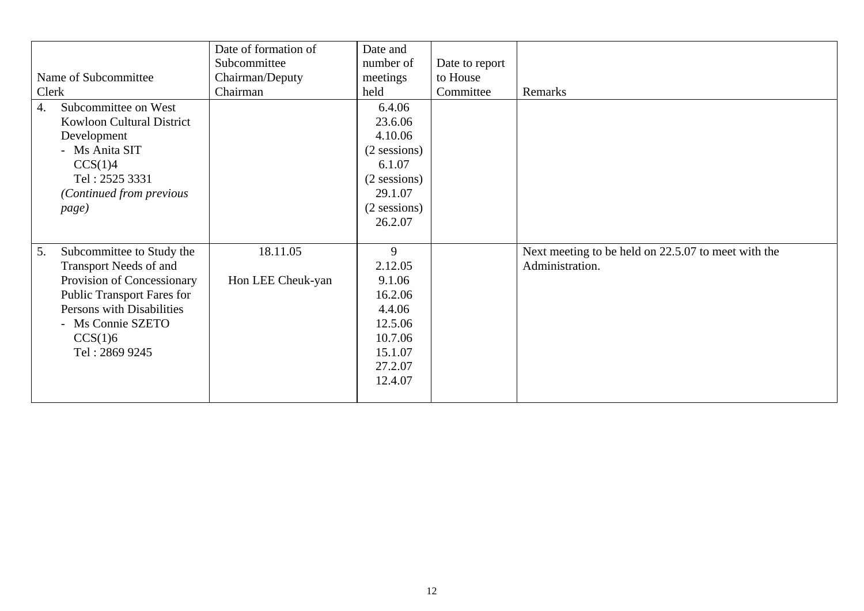|                                   | Date of formation of | Date and       |                |                                                     |
|-----------------------------------|----------------------|----------------|----------------|-----------------------------------------------------|
|                                   | Subcommittee         | number of      | Date to report |                                                     |
| Name of Subcommittee              | Chairman/Deputy      | meetings       | to House       |                                                     |
| Clerk                             | Chairman             | held           | Committee      | Remarks                                             |
| Subcommittee on West<br>4.        |                      | 6.4.06         |                |                                                     |
| <b>Kowloon Cultural District</b>  |                      | 23.6.06        |                |                                                     |
| Development                       |                      | 4.10.06        |                |                                                     |
| - Ms Anita SIT                    |                      | $(2$ sessions) |                |                                                     |
| CCS(1)4                           |                      | 6.1.07         |                |                                                     |
| Tel: 2525 3331                    |                      | $(2$ sessions) |                |                                                     |
| (Continued from previous          |                      | 29.1.07        |                |                                                     |
| page)                             |                      | $(2$ sessions) |                |                                                     |
|                                   |                      | 26.2.07        |                |                                                     |
|                                   |                      |                |                |                                                     |
| Subcommittee to Study the<br>5.   | 18.11.05             | 9              |                | Next meeting to be held on 22.5.07 to meet with the |
| Transport Needs of and            |                      | 2.12.05        |                | Administration.                                     |
| Provision of Concessionary        | Hon LEE Cheuk-yan    | 9.1.06         |                |                                                     |
| <b>Public Transport Fares for</b> |                      | 16.2.06        |                |                                                     |
| Persons with Disabilities         |                      | 4.4.06         |                |                                                     |
| - Ms Connie SZETO                 |                      | 12.5.06        |                |                                                     |
| CCS(1)6                           |                      | 10.7.06        |                |                                                     |
| Tel: 2869 9245                    |                      | 15.1.07        |                |                                                     |
|                                   |                      | 27.2.07        |                |                                                     |
|                                   |                      | 12.4.07        |                |                                                     |
|                                   |                      |                |                |                                                     |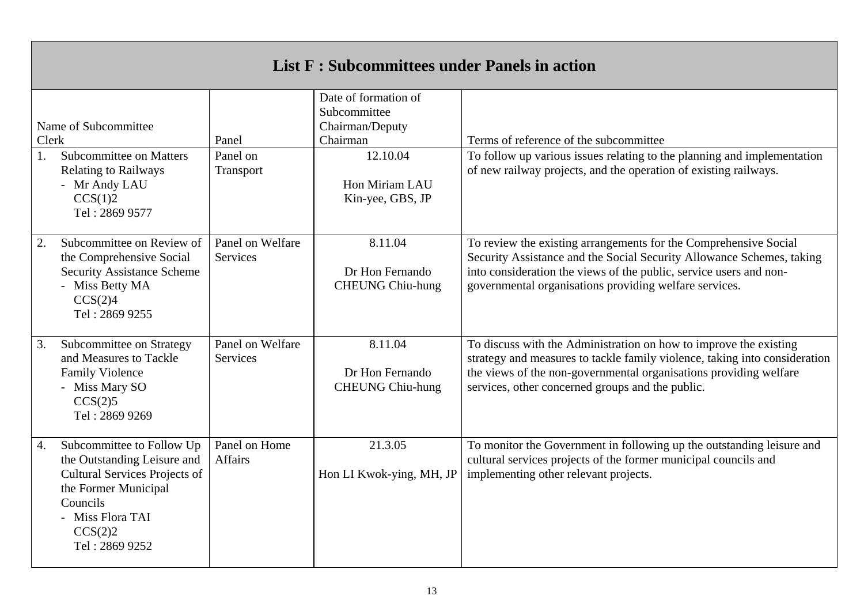| <b>List F: Subcommittees under Panels in action</b>                   |                                                                                                                                                                                       |                                 |                                                                                 |                                                                                                                                                                                                                                                                           |  |  |  |
|-----------------------------------------------------------------------|---------------------------------------------------------------------------------------------------------------------------------------------------------------------------------------|---------------------------------|---------------------------------------------------------------------------------|---------------------------------------------------------------------------------------------------------------------------------------------------------------------------------------------------------------------------------------------------------------------------|--|--|--|
| Name of Subcommittee<br>Clerk<br><b>Subcommittee on Matters</b><br>1. |                                                                                                                                                                                       | Panel<br>Panel on               | Date of formation of<br>Subcommittee<br>Chairman/Deputy<br>Chairman<br>12.10.04 | Terms of reference of the subcommittee<br>To follow up various issues relating to the planning and implementation                                                                                                                                                         |  |  |  |
|                                                                       | <b>Relating to Railways</b><br>- Mr Andy LAU<br>CCS(1)2<br>Tel: 2869 9577                                                                                                             | Transport                       | Hon Miriam LAU<br>Kin-yee, GBS, JP                                              | of new railway projects, and the operation of existing railways.                                                                                                                                                                                                          |  |  |  |
| 2.                                                                    | Subcommittee on Review of<br>the Comprehensive Social<br><b>Security Assistance Scheme</b><br>- Miss Betty MA<br>CCS(2)4<br>Tel: 2869 9255                                            | Panel on Welfare<br>Services    | 8.11.04<br>Dr Hon Fernando<br><b>CHEUNG Chiu-hung</b>                           | To review the existing arrangements for the Comprehensive Social<br>Security Assistance and the Social Security Allowance Schemes, taking<br>into consideration the views of the public, service users and non-<br>governmental organisations providing welfare services. |  |  |  |
| 3.                                                                    | Subcommittee on Strategy<br>and Measures to Tackle<br><b>Family Violence</b><br>- Miss Mary SO<br>CCS(2)5<br>Tel: 2869 9269                                                           | Panel on Welfare<br>Services    | 8.11.04<br>Dr Hon Fernando<br><b>CHEUNG Chiu-hung</b>                           | To discuss with the Administration on how to improve the existing<br>strategy and measures to tackle family violence, taking into consideration<br>the views of the non-governmental organisations providing welfare<br>services, other concerned groups and the public.  |  |  |  |
| $\overline{4}$ .                                                      | Subcommittee to Follow Up<br>the Outstanding Leisure and<br><b>Cultural Services Projects of</b><br>the Former Municipal<br>Councils<br>- Miss Flora TAI<br>CCS(2)2<br>Tel: 2869 9252 | Panel on Home<br><b>Affairs</b> | 21.3.05<br>Hon LI Kwok-ying, MH, JP                                             | To monitor the Government in following up the outstanding leisure and<br>cultural services projects of the former municipal councils and<br>implementing other relevant projects.                                                                                         |  |  |  |